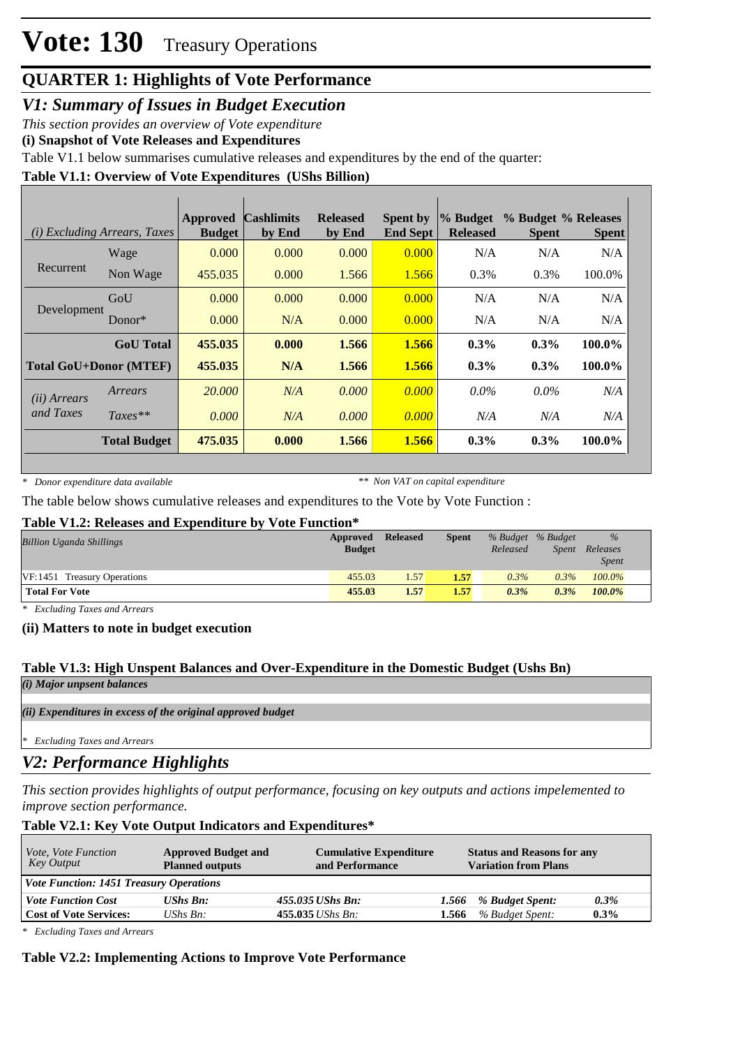# **QUARTER 1: Highlights of Vote Performance**

*V1: Summary of Issues in Budget Execution*

*This section provides an overview of Vote expenditure* 

**(i) Snapshot of Vote Releases and Expenditures**

Table V1.1 below summarises cumulative releases and expenditures by the end of the quarter:

### **Table V1.1: Overview of Vote Expenditures (UShs Billion)**

| ( <i>i</i> ) Excluding Arrears, Taxes |                     | <b>Approved</b><br><b>Budget</b> | <b>Cashlimits</b><br>by End | <b>Released</b><br>by End | <b>Spent by</b><br><b>End Sept</b> | % Budget<br><b>Released</b> | % Budget % Releases<br><b>Spent</b> | <b>Spent</b> |
|---------------------------------------|---------------------|----------------------------------|-----------------------------|---------------------------|------------------------------------|-----------------------------|-------------------------------------|--------------|
|                                       | Wage                | 0.000                            | 0.000                       | 0.000                     | 0.000                              | N/A                         | N/A                                 | N/A          |
| Recurrent                             | Non Wage            | 455.035                          | 0.000                       | 1.566                     | 1.566                              | 0.3%                        | 0.3%                                | 100.0%       |
| Development                           | GoU                 | 0.000                            | 0.000                       | 0.000                     | 0.000                              | N/A                         | N/A                                 | N/A          |
|                                       | Donor $*$           | 0.000                            | N/A                         | 0.000                     | 0.000                              | N/A                         | N/A                                 | N/A          |
|                                       | <b>GoU</b> Total    | 455.035                          | 0.000                       | 1.566                     | 1.566                              | $0.3\%$                     | $0.3\%$                             | 100.0%       |
| <b>Total GoU+Donor (MTEF)</b>         |                     | 455.035                          | N/A                         | 1.566                     | 1.566                              | $0.3\%$                     | $0.3\%$                             | 100.0%       |
| (ii) Arrears<br>and Taxes             | Arrears             | 20,000                           | N/A                         | 0.000                     | 0.000                              | $0.0\%$                     | $0.0\%$                             | N/A          |
|                                       | $Taxes**$           | 0.000                            | N/A                         | 0.000                     | 0.000                              | N/A                         | N/A                                 | N/A          |
|                                       | <b>Total Budget</b> | 475.035                          | 0.000                       | 1.566                     | 1.566                              | $0.3\%$                     | $0.3\%$                             | 100.0%       |

*\* Donor expenditure data available*

*\*\* Non VAT on capital expenditure*

The table below shows cumulative releases and expenditures to the Vote by Vote Function :

#### **Table V1.2: Releases and Expenditure by Vote Function\***

| <b>Billion Uganda Shillings</b> | Approved<br><b>Budget</b> | <b>Released</b> | <b>Spent</b> | % Budget % Budget<br>Released | <i>Spent</i> | $\frac{9}{6}$<br>Releases<br><i>Spent</i> |
|---------------------------------|---------------------------|-----------------|--------------|-------------------------------|--------------|-------------------------------------------|
| VF:1451 Treasury Operations     | 455.03                    | 1.57            | 1.57         | $0.3\%$                       | 0.3%         | $100.0\%$                                 |
| <b>Total For Vote</b>           | 455.03                    | 1.57            | 1.57         | $0.3\%$                       | $0.3\%$      | 100.0%                                    |

*\* Excluding Taxes and Arrears*

**(ii) Matters to note in budget execution**

### **Table V1.3: High Unspent Balances and Over-Expenditure in the Domestic Budget (Ushs Bn)**

*(i) Major unpsent balances*

*(ii) Expenditures in excess of the original approved budget*

*\* Excluding Taxes and Arrears*

# *V2: Performance Highlights*

*This section provides highlights of output performance, focusing on key outputs and actions impelemented to improve section performance.*

### **Table V2.1: Key Vote Output Indicators and Expenditures\***

| <i>Vote, Vote Function</i><br>Key Output       | <b>Approved Budget and</b><br><b>Planned outputs</b> | <b>Cumulative Expenditure</b><br>and Performance |       | <b>Status and Reasons for any</b><br><b>Variation from Plans</b> |         |
|------------------------------------------------|------------------------------------------------------|--------------------------------------------------|-------|------------------------------------------------------------------|---------|
| <b>Vote Function: 1451 Treasury Operations</b> |                                                      |                                                  |       |                                                                  |         |
| <b>Vote Function Cost</b>                      | <b>UShs Bn:</b>                                      | 455.035 UShs Bn:                                 | 1.566 | % Budget Spent:                                                  | $0.3\%$ |
| <b>Cost of Vote Services:</b>                  | UShs $B_n$ :                                         | $455.035$ UShs Bn:                               | 1.566 | % Budget Spent:                                                  | $0.3\%$ |

*\* Excluding Taxes and Arrears*

### **Table V2.2: Implementing Actions to Improve Vote Performance**